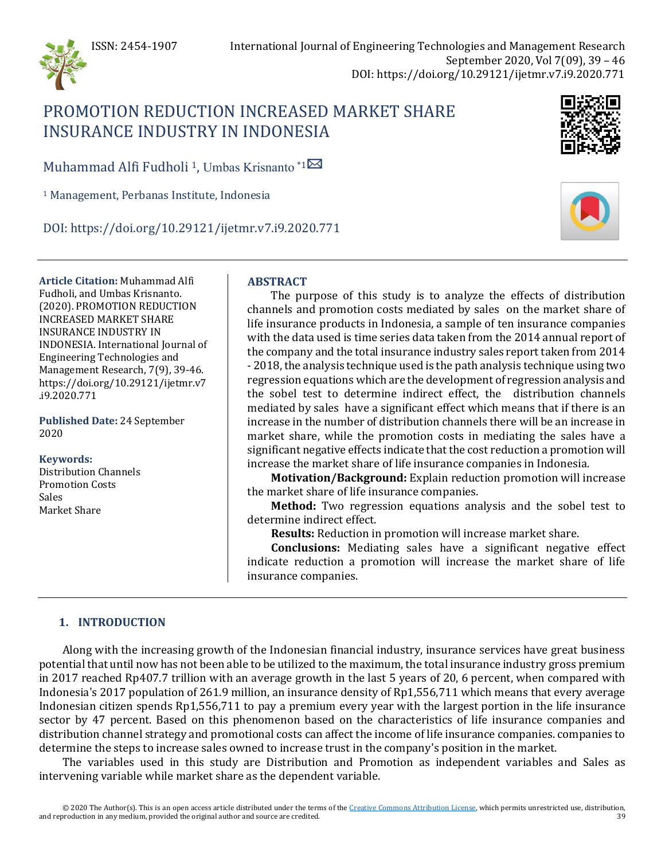

# PROMOTION REDUCTION INCREASED MARKET SHARE INSURANCE INDUSTRY IN INDONESIA

Muhammad Alfi Fudholi <sup>[1](mailto:umbas@perbanas.id)</sup>, Umbas Krisnanto \*1 $\boxtimes$ 

<sup>1</sup> Management, Perbanas Institute, Indonesia

DOI: https://doi.org/10.29121/ijetmr.v7.i9.2020.771

**Article Citation:** Muhammad Alfi Fudholi, and Umbas Krisnanto. (2020). PROMOTION REDUCTION INCREASED MARKET SHARE INSURANCE INDUSTRY IN INDONESIA. International Journal of Engineering Technologies and Management Research, 7(9), 39-46. https://doi.org/10.29121/ijetmr.v7 .i9.2020.771

**Published Date:** 24 September 2020

#### **Keywords:**

Distribution Channels Promotion Costs Sales Market Share

## **ABSTRACT**

The purpose of this study is to analyze the effects of distribution channels and promotion costs mediated by sales on the market share of life insurance products in Indonesia, a sample of ten insurance companies with the data used is time series data taken from the 2014 annual report of the company and the total insurance industry sales report taken from 2014 - 2018, the analysis technique used is the path analysis technique using two regression equations which are the development of regression analysis and the sobel test to determine indirect effect, the distribution channels mediated by sales have a significant effect which means that if there is an increase in the number of distribution channels there will be an increase in market share, while the promotion costs in mediating the sales have a significant negative effects indicate that the cost reduction a promotion will increase the market share of life insurance companies in Indonesia.

**Motivation/Background:** Explain reduction promotion will increase the market share of life insurance companies.

**Method:** Two regression equations analysis and the sobel test to determine indirect effect.

**Results:** Reduction in promotion will increase market share.

**Conclusions:** Mediating sales have a significant negative effect indicate reduction a promotion will increase the market share of life insurance companies.

## **1. INTRODUCTION**

Along with the increasing growth of the Indonesian financial industry, insurance services have great business potential that until now has not been able to be utilized to the maximum, the total insurance industry gross premium in 2017 reached Rp407.7 trillion with an average growth in the last 5 years of 20, 6 percent, when compared with Indonesia's 2017 population of 261.9 million, an insurance density of Rp1,556,711 which means that every average Indonesian citizen spends Rp1,556,711 to pay a premium every year with the largest portion in the life insurance sector by 47 percent. Based on this phenomenon based on the characteristics of life insurance companies and distribution channel strategy and promotional costs can affect the income of life insurance companies. companies to determine the steps to increase sales owned to increase trust in the company's position in the market.

The variables used in this study are Distribution and Promotion as independent variables and Sales as intervening variable while market share as the dependent variable.



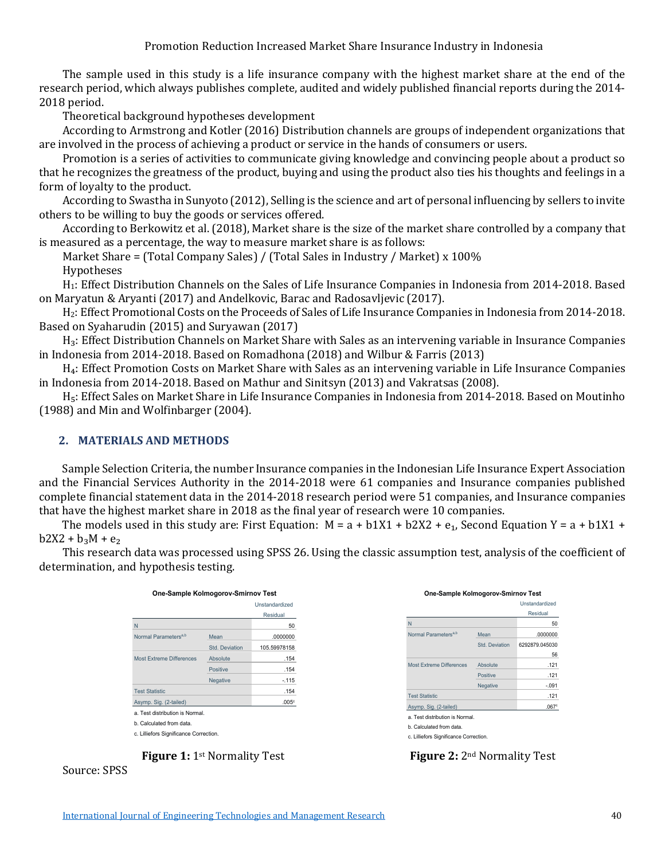Promotion Reduction Increased Market Share Insurance Industry in Indonesia

The sample used in this study is a life insurance company with the highest market share at the end of the research period, which always publishes complete, audited and widely published financial reports during the 2014- 2018 period.

Theoretical background hypotheses development

According to Armstrong and Kotler (2016) Distribution channels are groups of independent organizations that are involved in the process of achieving a product or service in the hands of consumers or users.

Promotion is a series of activities to communicate giving knowledge and convincing people about a product so that he recognizes the greatness of the product, buying and using the product also ties his thoughts and feelings in a form of loyalty to the product.

According to Swastha in Sunyoto (2012), Selling is the science and art of personal influencing by sellers to invite others to be willing to buy the goods or services offered.

According to Berkowitz et al. (2018), Market share is the size of the market share controlled by a company that is measured as a percentage, the way to measure market share is as follows:

Market Share = (Total Company Sales) / (Total Sales in Industry / Market) x 100% Hypotheses

H1: Effect Distribution Channels on the Sales of Life Insurance Companies in Indonesia from 2014-2018. Based on Maryatun & Aryanti (2017) and Andelkovic, Barac and Radosavljevic (2017).

H2: Effect Promotional Costs on the Proceeds of Sales of Life Insurance Companies in Indonesia from 2014-2018. Based on Syaharudin (2015) and Suryawan (2017)

H<sub>3</sub>: Effect Distribution Channels on Market Share with Sales as an intervening variable in Insurance Companies in Indonesia from 2014-2018. Based on Romadhona (2018) and Wilbur & Farris (2013)

H<sub>4</sub>: Effect Promotion Costs on Market Share with Sales as an intervening variable in Life Insurance Companies in Indonesia from 2014-2018. Based on Mathur and Sinitsyn (2013) and Vakratsas (2008).

H<sub>5</sub>: Effect Sales on Market Share in Life Insurance Companies in Indonesia from 2014-2018. Based on Moutinho (1988) and Min and Wolfinbarger (2004).

#### **2. MATERIALS AND METHODS**

Sample Selection Criteria, the number Insurance companies in the Indonesian Life Insurance Expert Association and the Financial Services Authority in the 2014-2018 were 61 companies and Insurance companies published complete financial statement data in the 2014-2018 research period were 51 companies, and Insurance companies that have the highest market share in 2018 as the final year of research were 10 companies.

The models used in this study are: First Equation:  $M = a + b1X1 + b2X2 + e_1$ , Second Equation Y = a + b1X1 +  $b2X2 + b_3M + e_2$ 

This research data was processed using SPSS 26. Using the classic assumption test, analysis of the coefficient of determination, and hypothesis testing.

| One-Sample Kolmogorov-Smirnov Test     |                 |                   |
|----------------------------------------|-----------------|-------------------|
|                                        |                 | Unstandardized    |
|                                        |                 | Residual          |
| N                                      |                 | 50                |
| Normal Parameters <sup>a,b</sup>       | Mean            | .0000000          |
|                                        | Std. Deviation  | 105.59978158      |
| <b>Most Extreme Differences</b>        | Absolute        | .154              |
|                                        | Positive        | .154              |
|                                        | <b>Negative</b> | $-115$            |
| <b>Test Statistic</b>                  |                 | .154              |
| Asymp. Sig. (2-tailed)                 |                 | .005 <sup>c</sup> |
| a. Test distribution is Normal.        |                 |                   |
| h. Calculated from data                |                 |                   |
| c. Lilliefors Significance Correction. |                 |                   |
|                                        |                 |                   |



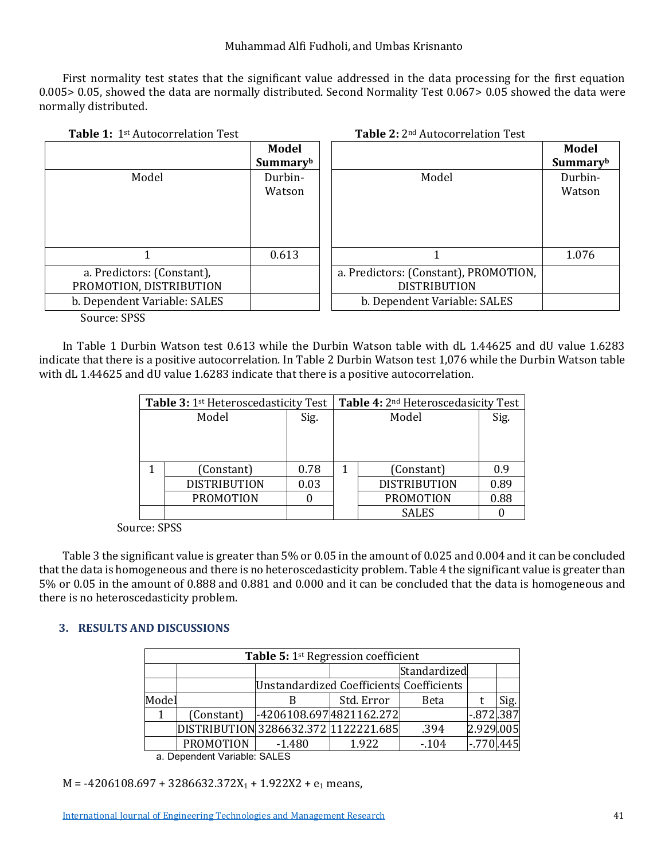#### Muhammad Alfi Fudholi, and Umbas Krisnanto

First normality test states that the significant value addressed in the data processing for the first equation 0.005> 0.05, showed the data are normally distributed. Second Normality Test 0.067> 0.05 showed the data were normally distributed.

| <b>Table 1: 1st Autocorrelation Test</b> |          | <b>Table 2: 2nd Autocorrelation Test</b> |          |
|------------------------------------------|----------|------------------------------------------|----------|
|                                          | Model    |                                          | Model    |
|                                          | Summaryb |                                          | Summaryb |
| Model                                    | Durbin-  | Model                                    | Durbin-  |
|                                          | Watson   |                                          | Watson   |
|                                          |          |                                          |          |
|                                          |          |                                          |          |
|                                          |          |                                          |          |
|                                          | 0.613    |                                          | 1.076    |
| a. Predictors: (Constant),               |          | a. Predictors: (Constant), PROMOTION,    |          |
| PROMOTION, DISTRIBUTION                  |          | <b>DISTRIBUTION</b>                      |          |
| b. Dependent Variable: SALES             |          | b. Dependent Variable: SALES             |          |

Source: SPSS

In Table 1 Durbin Watson test 0.613 while the Durbin Watson table with dL 1.44625 and dU value 1.6283 indicate that there is a positive autocorrelation. In Table 2 Durbin Watson test 1,076 while the Durbin Watson table with dL 1.44625 and dU value 1.6283 indicate that there is a positive autocorrelation.

| Table 3: 1 <sup>st</sup> Heteroscedasticity Test |                     |      | Table 4: 2 <sup>nd</sup> Heteroscedasicity Test |                     |      |
|--------------------------------------------------|---------------------|------|-------------------------------------------------|---------------------|------|
| Model                                            |                     | Sig. | Model                                           |                     | Sig. |
|                                                  |                     |      |                                                 |                     |      |
|                                                  |                     |      |                                                 |                     |      |
|                                                  |                     |      |                                                 |                     |      |
|                                                  | (Constant)          | 0.78 |                                                 | (Constant)          | 0.9  |
|                                                  | <b>DISTRIBUTION</b> | 0.03 |                                                 | <b>DISTRIBUTION</b> | 0.89 |
|                                                  | <b>PROMOTION</b>    |      |                                                 | <b>PROMOTION</b>    | 0.88 |
|                                                  |                     |      |                                                 | <b>SALES</b>        |      |

Source: SPSS

Table 3 the significant value is greater than 5% or 0.05 in the amount of 0.025 and 0.004 and it can be concluded that the data is homogeneous and there is no heteroscedasticity problem. Table 4 the significant value is greater than 5% or 0.05 in the amount of 0.888 and 0.881 and 0.000 and it can be concluded that the data is homogeneous and there is no heteroscedasticity problem.

## **3. RESULTS AND DISCUSSIONS**

| <b>Table 5: 1st Regression coefficient</b> |          |            |        |                                                                  |                                                          |  |  |
|--------------------------------------------|----------|------------|--------|------------------------------------------------------------------|----------------------------------------------------------|--|--|
|                                            |          |            |        |                                                                  |                                                          |  |  |
| Unstandardized Coefficients Coefficients   |          |            |        |                                                                  |                                                          |  |  |
| Model                                      |          | Std. Error | Beta   |                                                                  | Sig.                                                     |  |  |
| (Constant)                                 |          |            |        |                                                                  |                                                          |  |  |
|                                            |          |            | .394   |                                                                  |                                                          |  |  |
| <b>PROMOTION</b>                           | $-1.480$ | 1.922      | $-104$ |                                                                  |                                                          |  |  |
|                                            |          |            |        | -4206108.697 4821162.272<br>DISTRIBUTION 3286632.372 1122221.685 | Standardized<br>$-.872.387$<br>2.929.005<br>$-.770$ .445 |  |  |

a. Dependent Variable: SALES

 $M = -4206108.697 + 3286632.372X_1 + 1.922X2 + e_1$  means,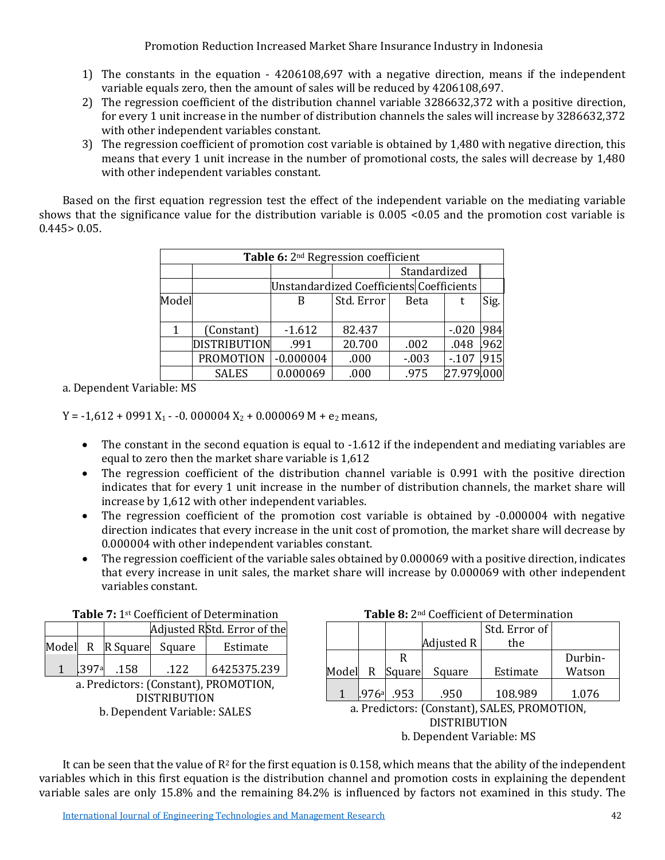Promotion Reduction Increased Market Share Insurance Industry in Indonesia

- 1) The constants in the equation 4206108,697 with a negative direction, means if the independent variable equals zero, then the amount of sales will be reduced by 4206108,697.
- 2) The regression coefficient of the distribution channel variable 3286632,372 with a positive direction, for every 1 unit increase in the number of distribution channels the sales will increase by 3286632,372 with other independent variables constant.
- 3) The regression coefficient of promotion cost variable is obtained by 1,480 with negative direction, this means that every 1 unit increase in the number of promotional costs, the sales will decrease by 1,480 with other independent variables constant.

Based on the first equation regression test the effect of the independent variable on the mediating variable shows that the significance value for the distribution variable is 0.005 <0.05 and the promotion cost variable is  $0.445 > 0.05$ .

| Table 6: 2 <sup>nd</sup> Regression coefficient |                                          |             |            |              |             |      |  |
|-------------------------------------------------|------------------------------------------|-------------|------------|--------------|-------------|------|--|
|                                                 |                                          |             |            | Standardized |             |      |  |
|                                                 | Unstandardized Coefficients Coefficients |             |            |              |             |      |  |
| Model                                           |                                          | B           | Std. Error | <b>Beta</b>  |             | Sig. |  |
|                                                 |                                          |             |            |              |             |      |  |
| 1                                               | (Constant)                               | $-1.612$    | 82.437     |              | $-020$ .984 |      |  |
|                                                 | <b>DISTRIBUTION</b>                      | .991        | 20.700     | .002         | .048        | .962 |  |
|                                                 | <b>PROMOTION</b>                         | $-0.000004$ | .000       | $-0.03$      | $-107$      | .915 |  |
|                                                 | <b>SALES</b>                             | 0.000069    | .000       | .975         | 27.979.000  |      |  |

a. Dependent Variable: MS

 $Y = -1,612 + 0991 X_1 - 0.000004 X_2 + 0.000069 M + e_2$  means,

- The constant in the second equation is equal to -1.612 if the independent and mediating variables are equal to zero then the market share variable is 1,612
- The regression coefficient of the distribution channel variable is 0.991 with the positive direction indicates that for every 1 unit increase in the number of distribution channels, the market share will increase by 1,612 with other independent variables.
- The regression coefficient of the promotion cost variable is obtained by -0.000004 with negative direction indicates that every increase in the unit cost of promotion, the market share will decrease by 0.000004 with other independent variables constant.
- The regression coefficient of the variable sales obtained by 0.000069 with a positive direction, indicates that every increase in unit sales, the market share will increase by 0.000069 with other independent variables constant.

| <b>Table</b> 7: 1 <sup>3</sup> Coemcient of Determination |  |     |                         |                             |  |  |
|-----------------------------------------------------------|--|-----|-------------------------|-----------------------------|--|--|
|                                                           |  |     |                         | Adjusted RStd. Error of the |  |  |
|                                                           |  |     | Model R R Square Square | Estimate                    |  |  |
|                                                           |  | 158 | .122                    | 6425375.239                 |  |  |
| a Predictors (Constant) PROMOTION                         |  |     |                         |                             |  |  |

**Table 7:** 1st Coefficient of Determination **Table 8:** 2nd Coefficient of Determination

a. Predictors: (Constant), PROMOTION,<br>DISTRIBUTION DISTRIBUTION b. Dependent Variable: SALES

|       |       |        |            | Std. Error of |         |
|-------|-------|--------|------------|---------------|---------|
|       |       |        | Adjusted R | the           |         |
|       |       | R      |            |               | Durbin- |
| Model | R     | Square | Square     | Estimate      | Watson  |
|       | .976ª | .953   | .950       | 108.989       | 1.076   |

a. Predictors: (Constant), SALES, PROMOTION, DISTRIBUTION b. Dependent Variable: MS

It can be seen that the value of  $R^2$  for the first equation is 0.158, which means that the ability of the independent variables which in this first equation is the distribution channel and promotion costs in explaining the dependent variable sales are only 15.8% and the remaining 84.2% is influenced by factors not examined in this study. The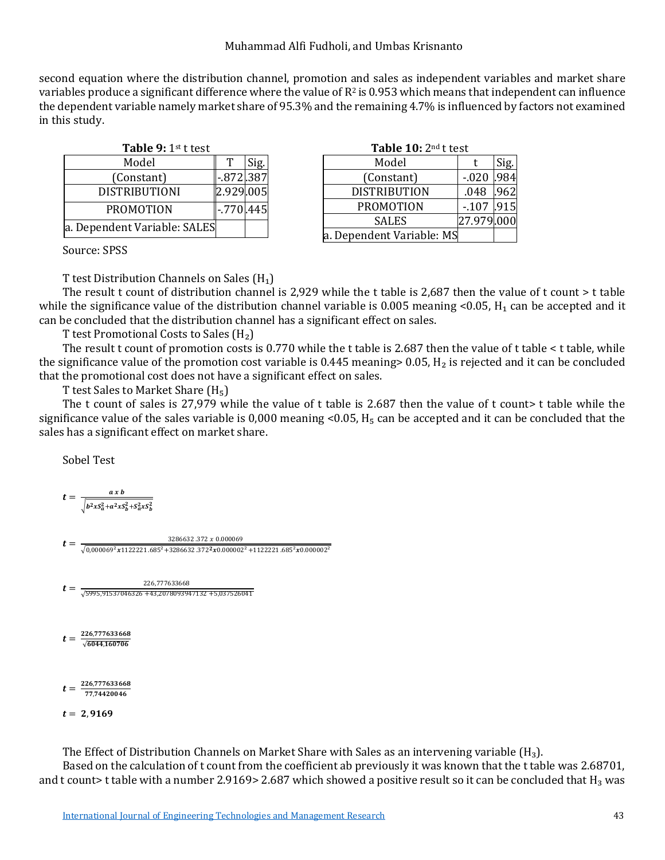second equation where the distribution channel, promotion and sales as independent variables and market share variables produce a significant difference where the value of  $R^2$  is 0.953 which means that independent can influence the dependent variable namely market share of 95.3% and the remaining 4.7% is influenced by factors not examined in this study.

| Table 9: 1st t test          |              |      |  |  |  |
|------------------------------|--------------|------|--|--|--|
| Model                        |              | Sig. |  |  |  |
| (Constant)                   | $-872.387$   |      |  |  |  |
| <b>DISTRIBUTIONI</b>         | 2.929.005    |      |  |  |  |
| <b>PROMOTION</b>             | $-.770$ .445 |      |  |  |  |
| a. Dependent Variable: SALES |              |      |  |  |  |

| Table 9: 1st t test |              |      | Table 10: 2 <sup>nd</sup> t test |                           |            |      |
|---------------------|--------------|------|----------------------------------|---------------------------|------------|------|
| Model               |              | Sig. |                                  | Model                     |            | Sig. |
| onstant)            | $-872.387$   |      |                                  | (Constant)                | $-.020$    | .984 |
| <b>RIBUTIONI</b>    | 2.929.005    |      |                                  | <b>DISTRIBUTION</b>       | .048       | .962 |
| <b>OMOTION</b>      | $-.770$ .445 |      |                                  | <b>PROMOTION</b>          | $-.107$    | .915 |
| nt Variable: SALES  |              |      |                                  | <b>SALES</b>              | 27.979.000 |      |
|                     |              |      |                                  | a. Dependent Variable: MS |            |      |
|                     |              |      |                                  |                           |            |      |

Source: SPSS

T test Distribution Channels on Sales  $(H_1)$ 

The result t count of distribution channel is 2,929 while the t table is 2,687 then the value of t count > t table while the significance value of the distribution channel variable is  $0.005$  meaning <0.05,  $H_1$  can be accepted and it can be concluded that the distribution channel has a significant effect on sales.

T test Promotional Costs to Sales  $(H<sub>2</sub>)$ 

The result t count of promotion costs is 0.770 while the t table is 2.687 then the value of t table < t table, while the significance value of the promotion cost variable is 0.445 meaning  $> 0.05$ , H<sub>2</sub> is rejected and it can be concluded that the promotional cost does not have a significant effect on sales.

T test Sales to Market Share  $(H_5)$ 

The t count of sales is 27,979 while the value of t table is 2.687 then the value of t count> t table while the significance value of the sales variable is 0,000 meaning <0.05,  $H_5$  can be accepted and it can be concluded that the sales has a significant effect on market share.

Sobel Test

$$
t = \frac{a \times b}{\sqrt{b^2 \times S_a^2 + a^2 \times S_b^2 + S_a^2 \times S_b^2}}
$$

 $t = \frac{3286632.372 \times 0.000069}{\sqrt{0,000069^2 \times 1122221.685^2 + 3286632.372^2 \times 0.000002^2 + 1122221.685^2 \times 0.000002^2}}$ 

 $t=\frac{226,777633668}{\sqrt{5995,91537046326+43,2078093947132+5,037526041}}$ 

 $t = \frac{226,777633668}{\sqrt{6044,160706}}$ 

 $t = \frac{226,777633668}{77,74420046}$ 

$$
t = 2,9169
$$

The Effect of Distribution Channels on Market Share with Sales as an intervening variable  $(H_3)$ .

Based on the calculation of t count from the coefficient ab previously it was known that the t table was 2.68701, and t count> t table with a number 2.9169> 2.687 which showed a positive result so it can be concluded that  $H_3$  was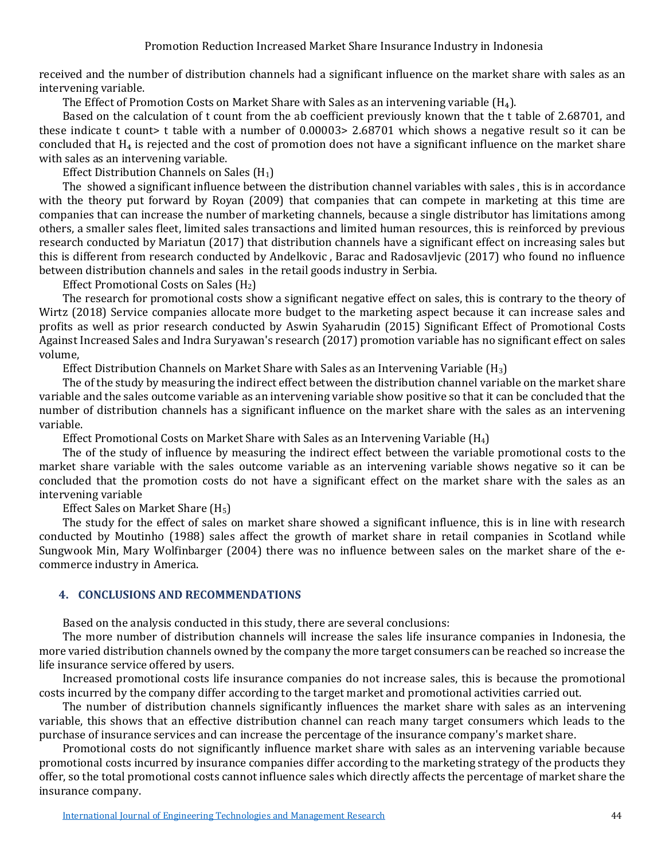received and the number of distribution channels had a significant influence on the market share with sales as an intervening variable.

The Effect of Promotion Costs on Market Share with Sales as an intervening variable  $(H_4)$ .

Based on the calculation of t count from the ab coefficient previously known that the t table of 2.68701, and these indicate t count> t table with a number of 0.00003> 2.68701 which shows a negative result so it can be concluded that  $H_4$  is rejected and the cost of promotion does not have a significant influence on the market share with sales as an intervening variable.

Effect Distribution Channels on Sales  $(H_1)$ 

The showed a significant influence between the distribution channel variables with sales , this is in accordance with the theory put forward by Royan (2009) that companies that can compete in marketing at this time are companies that can increase the number of marketing channels, because a single distributor has limitations among others, a smaller sales fleet, limited sales transactions and limited human resources, this is reinforced by previous research conducted by Mariatun (2017) that distribution channels have a significant effect on increasing sales but this is different from research conducted by Andelkovic , Barac and Radosavljevic (2017) who found no influence between distribution channels and sales in the retail goods industry in Serbia.

Effect Promotional Costs on Sales  $(H<sub>2</sub>)$ 

The research for promotional costs show a significant negative effect on sales, this is contrary to the theory of Wirtz (2018) Service companies allocate more budget to the marketing aspect because it can increase sales and profits as well as prior research conducted by Aswin Syaharudin (2015) Significant Effect of Promotional Costs Against Increased Sales and Indra Suryawan's research (2017) promotion variable has no significant effect on sales volume,

Effect Distribution Channels on Market Share with Sales as an Intervening Variable  $(H_3)$ 

The of the study by measuring the indirect effect between the distribution channel variable on the market share variable and the sales outcome variable as an intervening variable show positive so that it can be concluded that the number of distribution channels has a significant influence on the market share with the sales as an intervening variable.

Effect Promotional Costs on Market Share with Sales as an Intervening Variable (H4)

The of the study of influence by measuring the indirect effect between the variable promotional costs to the market share variable with the sales outcome variable as an intervening variable shows negative so it can be concluded that the promotion costs do not have a significant effect on the market share with the sales as an intervening variable

Effect Sales on Market Share (H5)

The study for the effect of sales on market share showed a significant influence, this is in line with research conducted by Moutinho (1988) sales affect the growth of market share in retail companies in Scotland while Sungwook Min, Mary Wolfinbarger (2004) there was no influence between sales on the market share of the ecommerce industry in America.

#### **4. CONCLUSIONS AND RECOMMENDATIONS**

Based on the analysis conducted in this study, there are several conclusions:

The more number of distribution channels will increase the sales life insurance companies in Indonesia, the more varied distribution channels owned by the company the more target consumers can be reached so increase the life insurance service offered by users.

Increased promotional costs life insurance companies do not increase sales, this is because the promotional costs incurred by the company differ according to the target market and promotional activities carried out.

The number of distribution channels significantly influences the market share with sales as an intervening variable, this shows that an effective distribution channel can reach many target consumers which leads to the purchase of insurance services and can increase the percentage of the insurance company's market share.

Promotional costs do not significantly influence market share with sales as an intervening variable because promotional costs incurred by insurance companies differ according to the marketing strategy of the products they offer, so the total promotional costs cannot influence sales which directly affects the percentage of market share the insurance company.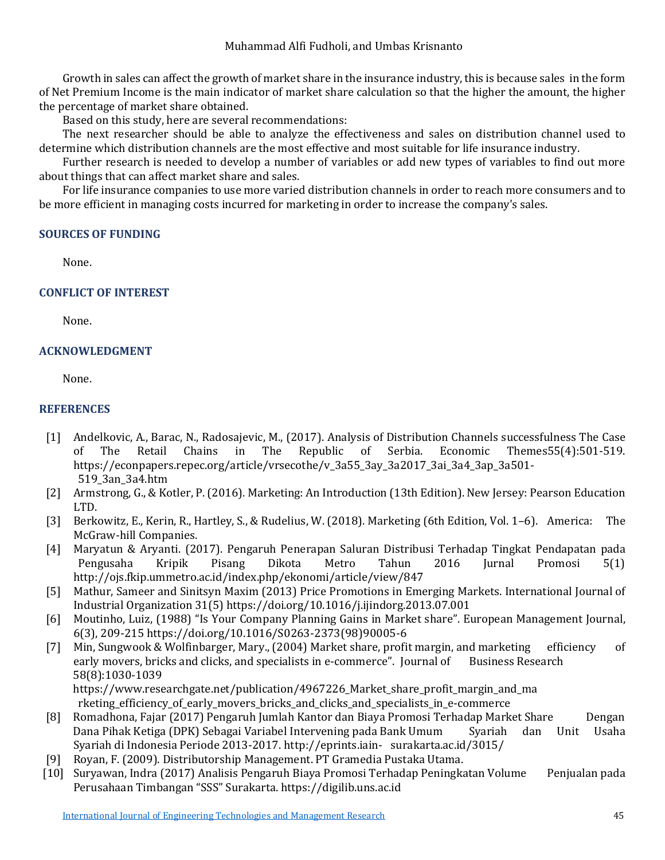Growth in sales can affect the growth of market share in the insurance industry, this is because sales in the form of Net Premium Income is the main indicator of market share calculation so that the higher the amount, the higher the percentage of market share obtained.

Based on this study, here are several recommendations:

The next researcher should be able to analyze the effectiveness and sales on distribution channel used to determine which distribution channels are the most effective and most suitable for life insurance industry.

Further research is needed to develop a number of variables or add new types of variables to find out more about things that can affect market share and sales.

For life insurance companies to use more varied distribution channels in order to reach more consumers and to be more efficient in managing costs incurred for marketing in order to increase the company's sales.

#### **SOURCES OF FUNDING**

None.

## **CONFLICT OF INTEREST**

None.

## **ACKNOWLEDGMENT**

None.

## **REFERENCES**

- [1] Andelkovic, A., Barac, N., Radosajevic, M., (2017). Analysis of Distribution Channels successfulness The Case The mes $55(4):501-519$ . https://econpapers.repec.org/article/vrsecothe/v\_3a55\_3ay\_3a2017\_3ai\_3a4\_3ap\_3a501- 519\_3an\_3a4.htm
- [2] Armstrong, G., & Kotler, P. (2016). Marketing: An Introduction (13th Edition). New Jersey: Pearson Education LTD.
- [3] Berkowitz, E., Kerin, R., Hartley, S., & Rudelius, W. (2018). Marketing (6th Edition, Vol. 1–6). America: The McGraw-hill Companies.
- [4] Maryatun & Aryanti. (2017). Pengaruh Penerapan Saluran Distribusi Terhadap Tingkat Pendapatan pada Pengusaha Kripik Pisang Dikota Metro Tahun 2016 Jurnal Promosi 5(1) http://ojs.fkip.ummetro.ac.id/index.php/ekonomi/article/view/847
- [5] Mathur, Sameer and Sinitsyn Maxim (2013) Price Promotions in Emerging Markets. International Journal of Industrial Organization 31(5) https://doi.org/10.1016/j.ijindorg.2013.07.001
- [6] Moutinho, Luiz, (1988) "Is Your Company Planning Gains in Market share". European Management Journal, 6(3), 209-215 https://doi.org/10.1016/S0263-2373(98)90005-6
- [7] Min, Sungwook & Wolfinbarger, Mary., (2004) Market share, profit margin, and marketing efficiency of early movers, bricks and clicks, and specialists in e-commerce". Journal of Business Research early movers, bricks and clicks, and specialists in e-commerce". Journal of 58(8):1030-1039 https://www.researchgate.net/publication/4967226 Market share profit margin and ma

rketing\_efficiency\_of\_early\_movers\_bricks\_and\_clicks\_and\_specialists\_in\_e-commerce

- [8] Romadhona, Fajar (2017) Pengaruh Jumlah Kantor dan Biaya Promosi Terhadap Market Share Dengan Dana Pihak Ketiga (DPK) Sebagai Variabel Intervening pada Bank Umum Syariah di Indonesia Periode 2013-2017. http://eprints.iain- surakarta.ac.id/3015/
- [9] Royan, F. (2009). Distributorship Management. PT Gramedia Pustaka Utama.
- [10] Suryawan, Indra (2017) Analisis Pengaruh Biaya Promosi Terhadap Peningkatan Volume Penjualan pada Perusahaan Timbangan "SSS" Surakarta. https://digilib.uns.ac.id